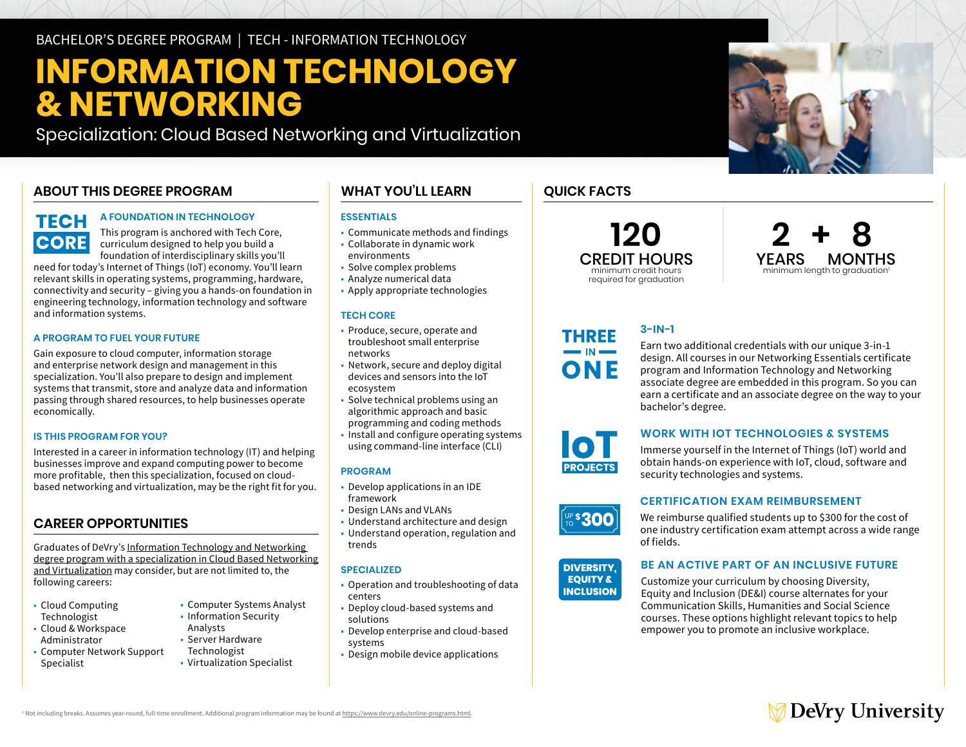# **INFORMATION TECHNOLOGY & NETWORKING**

Specialization: Cloud Based Networking and Virtualization

## **ABOUT THIS DEGREE PROGRAM**

## **TECH CORE**

### **A FOUNDATION IN TECHNOLOGY**

This program is anchored with Tech Core, curriculum designed to help you build a foundation of interdisciplinary skills you'll

need for today's Internet of Things (IoT) economy. You'll learn relevant skills in operating systems, programming, hardware, connectivity and security – giving you a hands-on foundation in engineering technology, information technology and software and information systems.

### **A PROGRAM TO FUEL YOUR FUTURE**

Gain exposure to cloud computer, information storage and enterprise network design and management in this specialization. You'll also prepare to design and implement systems that transmit, store and analyze data and information passing through shared resources, to help businesses operate economically.

### **IS THIS PROGRAM FOR YOU?**

Interested in a career in information technology (IT) and helping businesses improve and expand computing power to become more profitable, then this specialization, focused on cloudbased networking and virtualization, may be the right fit for you.

### **CAREER OPPORTUNITIES**

Graduates of DeVry's [Information Technology and Networking](https://www.devry.edu/online-programs/bachelors-degrees/information-technology-and-networking/cloud-based-networking-and-virtualization-specialization.html)  [degree program with a specialization in Cloud Based Networking](https://www.devry.edu/online-programs/bachelors-degrees/information-technology-and-networking/cloud-based-networking-and-virtualization-specialization.html)  [and Virtualization](https://www.devry.edu/online-programs/bachelors-degrees/information-technology-and-networking/cloud-based-networking-and-virtualization-specialization.html) may consider, but are not limited to, the following careers:

- Cloud Computing Technologist
- Cloud & Workspace Administrator
- Computer Network Support Specialist
- Computer Systems Analyst • Information Security
- Analysts • Server Hardware
- Technologist
- Virtualization Specialist

### **WHAT YOU'LL LEARN**

### **ESSENTIALS**

- Communicate methods and findings
- Collaborate in dynamic work environments
- Solve complex problems
- Analyze numerical data
- Apply appropriate technologies

### **TECH CORE**

- Produce, secure, operate and troubleshoot small enterprise networks
- Network, secure and deploy digital devices and sensors into the IoT ecosystem
- Solve technical problems using an algorithmic approach and basic
- programming and coding methods
- Install and configure operating systems using command-line interface (CLI)

### **PROGRAM**

- Develop applications in an IDE framework
- Design LANs and VLANs
- Understand architecture and design
- Understand operation, regulation and trends

### **SPECIALIZED**

- Operation and troubleshooting of data centers
- Deploy cloud-based systems and solutions
- Develop enterprise and cloud-based systems
- Design mobile device applications

## **QUICK FACTS**

**THREE**  $\blacksquare$  IN  $\blacksquare$ ONE

**101 PROJECTS** 

**120** CREDIT HOURS minimum credit hours required for graduation



## **3-IN-1**

Earn two additional credentials with our unique 3-in-1 design. All courses in our Networking Essentials certificate program and Information Technology and Networking associate degree are embedded in this program. So you can earn a certificate and an associate degree on the way to your bachelor's degree.

## **WORK WITH IOT TECHNOLOGIES & SYSTEMS**

Immerse yourself in the Internet of Things (IoT) world and obtain hands-on experience with IoT, cloud, software and security technologies and systems.

## **DIVERSITY, CERTIFICATION EXAM REIMBURSEMENT**

We reimburse qualified students up to \$300 for the cost of one industry certification exam attempt across a wide range of fields.



**UP\$300** 

### **BE AN ACTIVE PART OF AN INCLUSIVE FUTURE**

Customize your curriculum by choosing Diversity, Equity and Inclusion (DE&I) course alternates for your Communication Skills, Humanities and Social Science courses. These options highlight relevant topics to help empower you to promote an inclusive workplace.